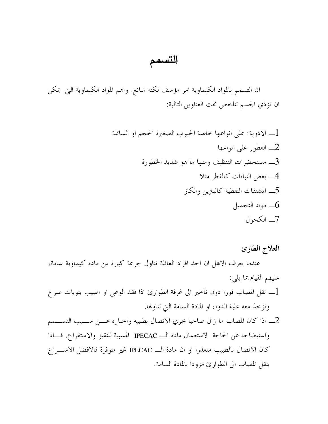## التسمم

ان التسمم بالمواد الكيماوية امر مؤسف لكنه شائع. واهم المواد الكيماوية التي يمكن ان تؤذي الجسم تتلخص تحت العناوين التالية:

## العلاج الطارئ

عندما يعرف الاهل ان احد افراد العائلة تناول جرعة كبيرة من مادة كيماوية سامة، عليهم القيام بما يلي: \_ نقل المصاب فورا دون تأخير الى غرفة الطوارئ اذا فقد الوعي او اصيب بنوبات صرع $1$ وتؤخذ معه علبة الدواء او المادة السامة التي تناولها.

2\_ اذا كان المصاب ما زال صاحيا يجري الاتصال بطبيبه واخباره عــــن ســـبب التســــمم واستيضاحه عن الحاحة لاستعمال مادة الـــ IPECAC المسببة للتقيؤ والاستفراغ. فـــاذا كان الاتصال بالطبيب متعذرا او ان مادة الـــ IPECAC غير متوفرة فالافضل الاســـراع بنقل المصاب الى الطوارئ مزودا بالمادة السامة.